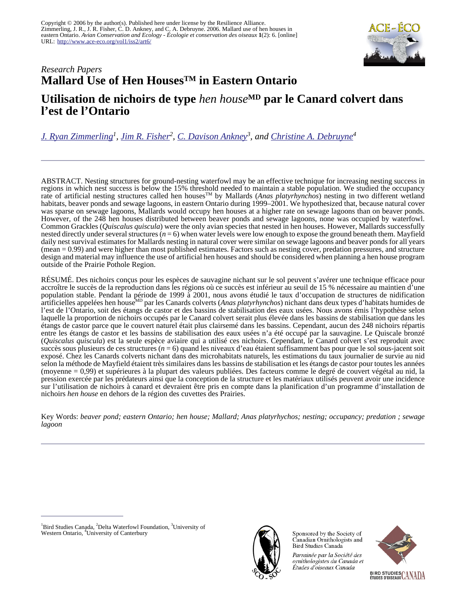

## *Research Papers* **Mallard Use of Hen HousesTM in Eastern Ontario**

# **Utilisation de nichoirs de type** *hen house***MD par le Canard colvert dans l'est de l'Ontario**

*[J. Ryan Zimmerling](mailto:rzimmerling@bsc-eoc.org)<sup>1</sup> , [Jim R. Fisher](mailto:jfisher@deltawaterfowl.org)<sup>2</sup> , [C. Davison Ankney](mailto:cdankney@kwic.com)<sup>3</sup> , and [Christine A. Debruyne](mailto:cad48@student.canterbury.ac.nz)<sup>4</sup>*

ABSTRACT. Nesting structures for ground-nesting waterfowl may be an effective technique for increasing nesting success in regions in which nest success is below the 15% threshold needed to maintain a stable population. We studied the occupancy rate of artificial nesting structures called hen houses<sup>TM</sup> by Mallards (*Anas platyrhynchos*) nesting in two different wetland habitats, beaver ponds and sewage lagoons, in eastern Ontario during 1999–2001. We hypothesized that, because natural cover was sparse on sewage lagoons, Mallards would occupy hen houses at a higher rate on sewage lagoons than on beaver ponds. However, of the 248 hen houses distributed between beaver ponds and sewage lagoons, none was occupied by waterfowl. Common Grackles (*Quiscalus quiscula*) were the only avian species that nested in hen houses. However, Mallards successfully nested directly under several structures (*n* = 6) when water levels were low enough to expose the ground beneath them. Mayfield daily nest survival estimates for Mallards nesting in natural cover were similar on sewage lagoons and beaver ponds for all years (mean = 0.99) and were higher than most published estimates. Factors such as nesting cover, predation pressures, and structure design and material may influence the use of artificial hen houses and should be considered when planning a hen house program outside of the Prairie Pothole Region.

RÉSUMÉ. Des nichoirs conçus pour les espèces de sauvagine nichant sur le sol peuvent s'avérer une technique efficace pour accroître le succès de la reproduction dans les régions où ce succès est inférieur au seuil de 15 % nécessaire au maintien d'une population stable. Pendant la période de 1999 à 2001, nous avons étudié le taux d'occupation de structures de nidification artificielles appelées hen houseMD par les Canards colverts (*Anas platyrhynchos*) nichant dans deux types d'habitats humides de l'est de l'Ontario, soit des étangs de castor et des bassins de stabilisation des eaux usées. Nous avons émis l'hypothèse selon laquelle la proportion de nichoirs occupés par le Canard colvert serait plus élevée dans les bassins de stabilisation que dans les étangs de castor parce que le couvert naturel était plus clairsemé dans les bassins. Cependant, aucun des 248 nichoirs répartis entre les étangs de castor et les bassins de stabilisation des eaux usées n'a été occupé par la sauvagine. Le Quiscale bronzé (*Quiscalus quiscula*) est la seule espèce aviaire qui a utilisé ces nichoirs. Cependant, le Canard colvert s'est reproduit avec succès sous plusieurs de ces structures (*n* = 6) quand les niveaux d'eau étaient suffisamment bas pour que le sol sous-jacent soit exposé. Chez les Canards colverts nichant dans des microhabitats naturels, les estimations du taux journalier de survie au nid selon la méthode de Mayfield étaient très similaires dans les bassins de stabilisation et les étangs de castor pour toutes les années (moyenne = 0,99) et supérieures à la plupart des valeurs publiées. Des facteurs comme le degré de couvert végétal au nid, la pression exercée par les prédateurs ainsi que la conception de la structure et les matériaux utilisés peuvent avoir une incidence sur l'utilisation de nichoirs à canard et devraient être pris en compte dans la planification d'un programme d'installation de nichoirs *hen house* en dehors de la région des cuvettes des Prairies.

Key Words: *beaver pond; eastern Ontario; hen house; Mallard; Anas platyrhychos; nesting; occupancy; predation ; sewage lagoon* 



Sponsored by the Society of Canadian Ornithologists and Bird Studies Canada

Parrainée par la Société des ornithologistes du Canada et Études d'oiseaux Canada



<sup>&</sup>lt;sup>1</sup>Bird Studies Canada, <sup>2</sup>Delta Waterfowl Foundation, <sup>3</sup>University of Western Ontario, <sup>4</sup>University of Canterbury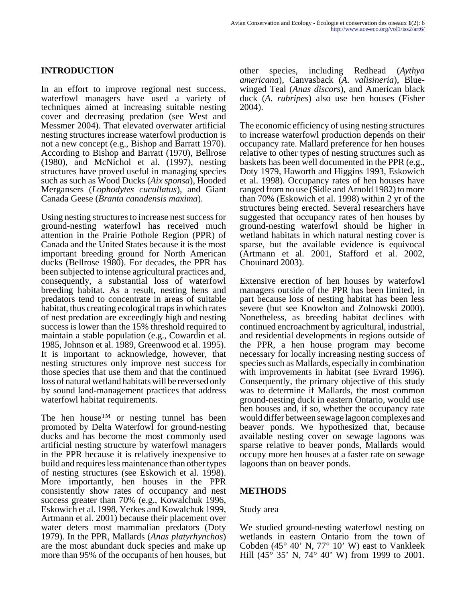### **INTRODUCTION**

In an effort to improve regional nest success, waterfowl managers have used a variety of techniques aimed at increasing suitable nesting cover and decreasing predation (see West and Messmer 2004). That elevated overwater artificial nesting structures increase waterfowl production is not a new concept (e.g., Bishop and Barratt 1970). According to Bishop and Barratt (1970), Bellrose (1980), and McNichol et al. (1997), nesting structures have proved useful in managing species such as such as Wood Ducks (*Aix sponsa*), Hooded Mergansers (*Lophodytes cucullatus*), and Giant Canada Geese (*Branta canadensis maxima*).

Using nesting structures to increase nest success for ground-nesting waterfowl has received much attention in the Prairie Pothole Region (PPR) of Canada and the United States because it is the most important breeding ground for North American ducks (Bellrose 1980). For decades, the PPR has been subjected to intense agricultural practices and, consequently, a substantial loss of waterfowl breeding habitat. As a result, nesting hens and predators tend to concentrate in areas of suitable habitat, thus creating ecological traps in which rates of nest predation are exceedingly high and nesting success is lower than the 15% threshold required to maintain a stable population (e.g., Cowardin et al. 1985, Johnson et al. 1989, Greenwood et al. 1995). It is important to acknowledge, however, that nesting structures only improve nest success for those species that use them and that the continued loss of natural wetland habitats will be reversed only by sound land-management practices that address waterfowl habitat requirements.

The hen house<sup>TM</sup> or nesting tunnel has been promoted by Delta Waterfowl for ground-nesting ducks and has become the most commonly used artificial nesting structure by waterfowl managers in the PPR because it is relatively inexpensive to build and requires less maintenance than other types of nesting structures (see Eskowich et al. 1998). More importantly, hen houses in the PPR consistently show rates of occupancy and nest success greater than 70% (e.g., Kowalchuk 1996, Eskowich et al. 1998, Yerkes and Kowalchuk 1999, Artmann et al. 2001) because their placement over water deters most mammalian predators (Doty 1979). In the PPR, Mallards (*Anas platyrhynchos*) are the most abundant duck species and make up more than 95% of the occupants of hen houses, but other species, including Redhead (*Aythya americana*), Canvasback (*A. valisineria*), Bluewinged Teal (*Anas discors*), and American black duck (*A. rubripes*) also use hen houses (Fisher 2004).

The economic efficiency of using nesting structures to increase waterfowl production depends on their occupancy rate. Mallard preference for hen houses relative to other types of nesting structures such as baskets has been well documented in the PPR (e.g., Doty 1979, Haworth and Higgins 1993, Eskowich et al. 1998). Occupancy rates of hen houses have ranged from no use (Sidle and Arnold 1982) to more than 70% (Eskowich et al. 1998) within 2 yr of the structures being erected. Several researchers have suggested that occupancy rates of hen houses by ground-nesting waterfowl should be higher in wetland habitats in which natural nesting cover is sparse, but the available evidence is equivocal (Artmann et al. 2001, Stafford et al. 2002, Chouinard 2003).

Extensive erection of hen houses by waterfowl managers outside of the PPR has been limited, in part because loss of nesting habitat has been less severe (but see Knowlton and Zolnowski 2000). Nonetheless, as breeding habitat declines with continued encroachment by agricultural, industrial, and residential developments in regions outside of the PPR, a hen house program may become necessary for locally increasing nesting success of species such as Mallards, especially in combination with improvements in habitat (see Evrard 1996). Consequently, the primary objective of this study was to determine if Mallards, the most common ground-nesting duck in eastern Ontario, would use hen houses and, if so, whether the occupancy rate would differ between sewage lagoon complexes and beaver ponds. We hypothesized that, because available nesting cover on sewage lagoons was sparse relative to beaver ponds, Mallards would occupy more hen houses at a faster rate on sewage lagoons than on beaver ponds.

#### **METHODS**

#### Study area

We studied ground-nesting waterfowl nesting on wetlands in eastern Ontario from the town of Cobden (45° 40' N, 77° 10' W) east to Vankleek Hill (45° 35' N, 74° 40' W) from 1999 to 2001.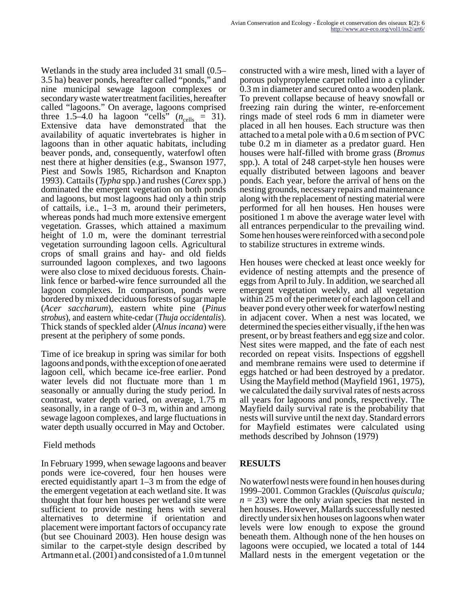Wetlands in the study area included 31 small (0.5– 3.5 ha) beaver ponds, hereafter called "ponds," and nine municipal sewage lagoon complexes or secondary waste water treatment facilities, hereafter called "lagoons." On average, lagoons comprised three 1.5–4.0 ha lagoon "cells"  $(n_{\text{cells}} = 31)$ . Extensive data have demonstrated that the availability of aquatic invertebrates is higher in lagoons than in other aquatic habitats, including beaver ponds, and, consequently, waterfowl often nest there at higher densities (e.g., Swanson 1977, Piest and Sowls 1985, Richardson and Knapton 1993). Cattails (*Typha* spp.) and rushes (*Carex* spp.) dominated the emergent vegetation on both ponds and lagoons, but most lagoons had only a thin strip of cattails, i.e., 1–3 m, around their perimeters, whereas ponds had much more extensive emergent vegetation. Grasses, which attained a maximum height of 1.0 m, were the dominant terrestrial vegetation surrounding lagoon cells. Agricultural crops of small grains and hay- and old fields surrounded lagoon complexes, and two lagoons were also close to mixed deciduous forests. Chainlink fence or barbed-wire fence surrounded all the lagoon complexes. In comparison, ponds were bordered by mixed deciduous forests of sugar maple (*Acer saccharum*), eastern white pine (*Pinus strobus*), and eastern white-cedar (*Thuja occidentalis*). Thick stands of speckled alder (*Alnus incana*) were present at the periphery of some ponds.

Time of ice breakup in spring was similar for both lagoons and ponds, with the exception of one aerated lagoon cell, which became ice-free earlier. Pond water levels did not fluctuate more than 1 m seasonally or annually during the study period. In contrast, water depth varied, on average, 1.75 m seasonally, in a range of 0–3 m, within and among sewage lagoon complexes, and large fluctuations in water depth usually occurred in May and October.

#### Field methods

In February 1999, when sewage lagoons and beaver ponds were ice-covered, four hen houses were erected equidistantly apart 1–3 m from the edge of the emergent vegetation at each wetland site. It was thought that four hen houses per wetland site were sufficient to provide nesting hens with several alternatives to determine if orientation and placement were important factors of occupancy rate (but see Chouinard 2003). Hen house design was similar to the carpet-style design described by Artmann et al. (2001) and consisted of a 1.0 m tunnel

constructed with a wire mesh, lined with a layer of porous polypropylene carpet rolled into a cylinder 0.3 m in diameter and secured onto a wooden plank. To prevent collapse because of heavy snowfall or freezing rain during the winter, re-enforcement rings made of steel rods 6 mm in diameter were placed in all hen houses. Each structure was then attached to a metal pole with a 0.6 m section of PVC tube 0.2 m in diameter as a predator guard. Hen houses were half-filled with brome grass (*Bromus* spp.). A total of 248 carpet-style hen houses were equally distributed between lagoons and beaver ponds. Each year, before the arrival of hens on the nesting grounds, necessary repairs and maintenance along with the replacement of nesting material were performed for all hen houses. Hen houses were positioned 1 m above the average water level with all entrances perpendicular to the prevailing wind. Some hen houses were reinforced with a second pole to stabilize structures in extreme winds.

Hen houses were checked at least once weekly for evidence of nesting attempts and the presence of eggs from April to July. In addition, we searched all emergent vegetation weekly, and all vegetation within 25 m of the perimeter of each lagoon cell and beaver pond every other week for waterfowl nesting in adjacent cover. When a nest was located, we determined the species either visually, if the hen was present, or by breast feathers and egg size and color. Nest sites were mapped, and the fate of each nest recorded on repeat visits. Inspections of eggshell and membrane remains were used to determine if eggs hatched or had been destroyed by a predator. Using the Mayfield method (Mayfield 1961, 1975), we calculated the daily survival rates of nests across all years for lagoons and ponds, respectively. The Mayfield daily survival rate is the probability that nests will survive until the next day. Standard errors for Mayfield estimates were calculated using methods described by Johnson (1979)

### **RESULTS**

No waterfowl nests were found in hen houses during 1999–2001. Common Grackles (*Quiscalus quiscula;*  $n = 23$ ) were the only avian species that nested in hen houses. However, Mallards successfully nested directly under six hen houses on lagoons when water levels were low enough to expose the ground beneath them. Although none of the hen houses on lagoons were occupied, we located a total of 144 Mallard nests in the emergent vegetation or the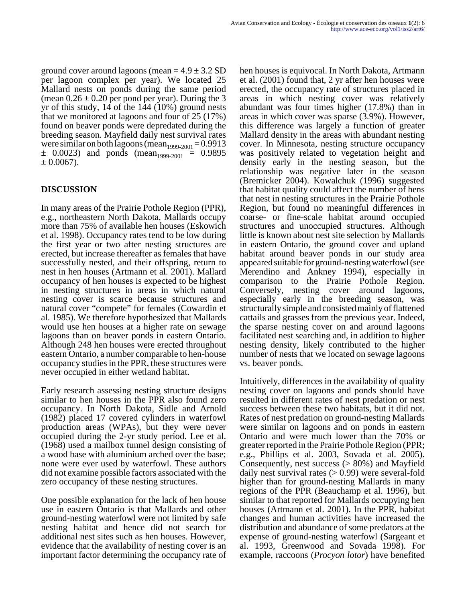ground cover around lagoons (mean  $= 4.9 \pm 3.2$  SD per lagoon complex per year). We located 25 Mallard nests on ponds during the same period (mean  $0.26 \pm 0.20$  per pond per year). During the 3 yr of this study,  $14$  of the  $144$  (10%) ground nests that we monitored at lagoons and four of 25 (17%) found on beaver ponds were depredated during the breeding season. Mayfield daily nest survival rates were similar on both lagoons (mean<sub>1999-2001</sub> = 0.9913  $\pm$  0.0023) and ponds (mean<sub>1999-2001</sub> = 0.9895  $\pm$  0.0067).

### **DISCUSSION**

In many areas of the Prairie Pothole Region (PPR), e.g., northeastern North Dakota, Mallards occupy more than 75% of available hen houses (Eskowich et al. 1998). Occupancy rates tend to be low during the first year or two after nesting structures are erected, but increase thereafter as females that have successfully nested, and their offspring, return to nest in hen houses (Artmann et al. 2001). Mallard occupancy of hen houses is expected to be highest in nesting structures in areas in which natural nesting cover is scarce because structures and natural cover "compete" for females (Cowardin et al. 1985). We therefore hypothesized that Mallards would use hen houses at a higher rate on sewage lagoons than on beaver ponds in eastern Ontario. Although 248 hen houses were erected throughout eastern Ontario, a number comparable to hen-house occupancy studies in the PPR, these structures were never occupied in either wetland habitat.

Early research assessing nesting structure designs similar to hen houses in the PPR also found zero occupancy. In North Dakota, Sidle and Arnold (1982) placed 17 covered cylinders in waterfowl production areas (WPAs), but they were never occupied during the 2-yr study period. Lee et al. (1968) used a mailbox tunnel design consisting of a wood base with aluminium arched over the base; none were ever used by waterfowl. These authors did not examine possible factors associated with the zero occupancy of these nesting structures.

One possible explanation for the lack of hen house use in eastern Ontario is that Mallards and other ground-nesting waterfowl were not limited by safe nesting habitat and hence did not search for additional nest sites such as hen houses. However, evidence that the availability of nesting cover is an important factor determining the occupancy rate of hen houses is equivocal. In North Dakota, Artmann et al. (2001) found that, 2 yr after hen houses were erected, the occupancy rate of structures placed in areas in which nesting cover was relatively abundant was four times higher (17.8%) than in areas in which cover was sparse (3.9%). However, this difference was largely a function of greater Mallard density in the areas with abundant nesting cover. In Minnesota, nesting structure occupancy was positively related to vegetation height and density early in the nesting season, but the relationship was negative later in the season (Bremicker 2004). Kowalchuk (1996) suggested that habitat quality could affect the number of hens that nest in nesting structures in the Prairie Pothole Region, but found no meaningful differences in coarse- or fine-scale habitat around occupied structures and unoccupied structures. Although little is known about nest site selection by Mallards in eastern Ontario, the ground cover and upland habitat around beaver ponds in our study area appeared suitable for ground-nesting waterfowl (see Merendino and Ankney 1994), especially in comparison to the Prairie Pothole Region. Conversely, nesting cover around lagoons, especially early in the breeding season, was structurally simple and consisted mainly of flattened cattails and grasses from the previous year. Indeed, the sparse nesting cover on and around lagoons facilitated nest searching and, in addition to higher nesting density, likely contributed to the higher number of nests that we located on sewage lagoons vs. beaver ponds.

Intuitively, differences in the availability of quality nesting cover on lagoons and ponds should have resulted in different rates of nest predation or nest success between these two habitats, but it did not. Rates of nest predation on ground-nesting Mallards were similar on lagoons and on ponds in eastern Ontario and were much lower than the 70% or greater reported in the Prairie Pothole Region (PPR; e.g., Phillips et al. 2003, Sovada et al. 2005). Consequently, nest success (> 80%) and Mayfield daily nest survival rates  $(> 0.99)$  were several-fold higher than for ground-nesting Mallards in many regions of the PPR (Beauchamp et al. 1996), but similar to that reported for Mallards occupying hen houses (Artmann et al. 2001). In the PPR, habitat changes and human activities have increased the distribution and abundance of some predators at the expense of ground-nesting waterfowl (Sargeant et al. 1993, Greenwood and Sovada 1998). For example, raccoons (*Procyon lotor*) have benefited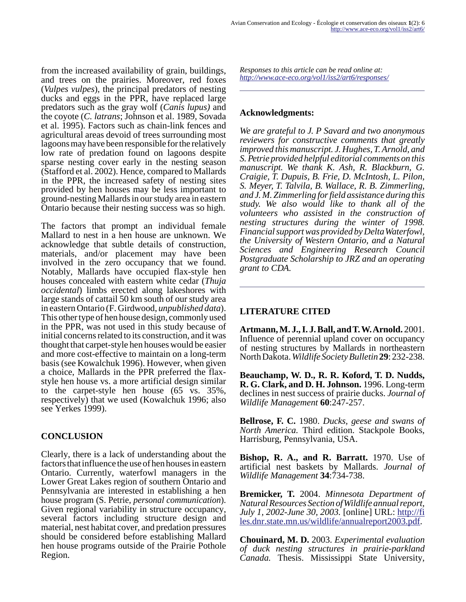from the increased availability of grain, buildings, and trees on the prairies. Moreover, red foxes (*Vulpes vulpes*), the principal predators of nesting ducks and eggs in the PPR, have replaced large predators such as the gray wolf (*Canis lupus)* and the coyote (*C. latrans*; Johnson et al. 1989, Sovada et al. 1995). Factors such as chain-link fences and agricultural areas devoid of trees surrounding most lagoons may have been responsible for the relatively low rate of predation found on lagoons despite sparse nesting cover early in the nesting season (Stafford et al. 2002). Hence, compared to Mallards in the PPR, the increased safety of nesting sites provided by hen houses may be less important to ground-nesting Mallards in our study area in eastern Ontario because their nesting success was so high.

The factors that prompt an individual female Mallard to nest in a hen house are unknown. We acknowledge that subtle details of construction, materials, and/or placement may have been involved in the zero occupancy that we found. Notably, Mallards have occupied flax-style hen houses concealed with eastern white cedar (*Thuja occidental*) limbs erected along lakeshores with large stands of cattail 50 km south of our study area in eastern Ontario (F. Girdwood, *unpublished data*). This other type of hen house design, commonly used in the PPR, was not used in this study because of initial concerns related to its construction, and it was thought that carpet-style hen houses would be easier and more cost-effective to maintain on a long-term basis (see Kowalchuk 1996). However, when given a choice, Mallards in the PPR preferred the flaxstyle hen house vs. a more artificial design similar to the carpet-style hen house (65 vs. 35%, respectively) that we used (Kowalchuk 1996; also see Yerkes 1999).

# **CONCLUSION**

Clearly, there is a lack of understanding about the factors that influence the use of hen houses in eastern Ontario. Currently, waterfowl managers in the Lower Great Lakes region of southern Ontario and Pennsylvania are interested in establishing a hen house program (S. Petrie, *personal communication*). Given regional variability in structure occupancy, several factors including structure design and material, nest habitat cover, and predation pressures should be considered before establishing Mallard hen house programs outside of the Prairie Pothole Region.

*Responses to this article can be read online at: <http://www.ace-eco.org/vol1/iss2/art6/responses/>*

### **Acknowledgments:**

*We are grateful to J. P Savard and two anonymous reviewers for constructive comments that greatly improved this manuscript. J. Hughes, T. Arnold, and S. Petrie provided helpful editorial comments on this manuscript. We thank K. Ash, R. Blackburn, G. Craigie, T. Dupuis, B. Frie, D. McIntosh, L. Pilon, S. Meyer, T. Talvila, B. Wallace, R. B. Zimmerling, and J. M. Zimmerling for field assistance during this study. We also would like to thank all of the volunteers who assisted in the construction of nesting structures during the winter of 1998. Financial support was provided by Delta Waterfowl, the University of Western Ontario, and a Natural Sciences and Engineering Research Council Postgraduate Scholarship to JRZ and an operating grant to CDA.*

# **LITERATURE CITED**

**Artmann, M. J., I. J. Ball, and T. W. Arnold.** 2001. Influence of perennial upland cover on occupancy of nesting structures by Mallards in northeastern North Dakota. *Wildlife Society Bulletin* **29**: 232-238.

**Beauchamp, W. D., R. R. Koford, T. D. Nudds, R. G. Clark, and D. H. Johnson.** 1996. Long-term declines in nest success of prairie ducks. *Journal of Wildlife Management* **60**:247-257.

**Bellrose, F. C.** 1980. *Ducks, geese and swans of North America.* Third edition. Stackpole Books, Harrisburg, Pennsylvania, USA.

**Bishop, R. A., and R. Barratt.** 1970. Use of artificial nest baskets by Mallards. *Journal of Wildlife Management* **34**:734-738.

**Bremicker, T.** 2004. *Minnesota Department of Natural Resources Section of Wildlife annual report, July 1, 2002-June 30, 2003.* [online] URL: [http://fi](http://files.dnr.state.mn.us/wildlife/annualreport2003.pdf) [les.dnr.state.mn.us/wildlife/annualreport2003.pdf.](http://files.dnr.state.mn.us/wildlife/annualreport2003.pdf)

**Chouinard, M. D.** 2003. *Experimental evaluation of duck nesting structures in prairie-parkland Canada.* Thesis. Mississippi State University,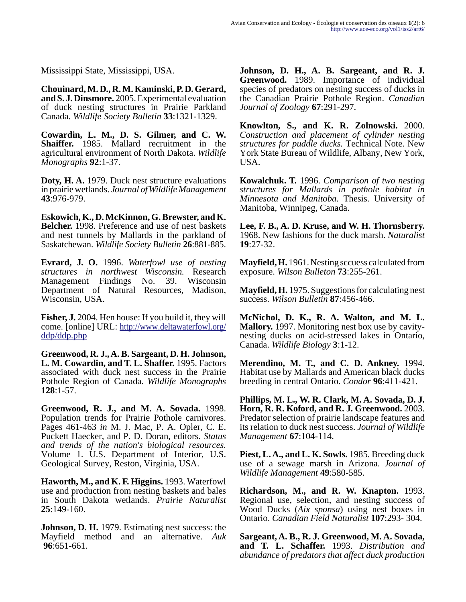Mississippi State, Mississippi, USA.

**Chouinard, M. D., R. M. Kaminski, P. D. Gerard, and S. J. Dinsmore.** 2005. Experimental evaluation of duck nesting structures in Prairie Parkland Canada. *Wildlife Society Bulletin* **33**:1321-1329.

**Cowardin, L. M., D. S. Gilmer, and C. W. Shaiffer.** 1985. Mallard recruitment in the agricultural environment of North Dakota. *Wildlife Monographs* **92**:1-37.

**Doty, H. A.** 1979. Duck nest structure evaluations in prairie wetlands. *Journal of Wildlife Management* **43**:976-979.

**Eskowich, K., D. McKinnon, G. Brewster, and K. Belcher.** 1998. Preference and use of nest baskets and nest tunnels by Mallards in the parkland of Saskatchewan. *Wildlife Society Bulletin* **26**:881-885.

**Evrard, J. O.** 1996. *Waterfowl use of nesting structures in northwest Wisconsin.* Research Management Findings No. 39. Wisconsin Department of Natural Resources, Madison, Wisconsin, USA.

**Fisher, J.** 2004. Hen house: If you build it, they will come. [online] URL: [http://www.deltawaterfowl.org/](http://www.deltawaterfowl.org/ddp/ddp.php) [ddp/ddp.php](http://www.deltawaterfowl.org/ddp/ddp.php)

**Greenwood, R. J., A. B. Sargeant, D. H. Johnson, L. M. Cowardin, and T. L. Shaffer.** 1995. Factors associated with duck nest success in the Prairie Pothole Region of Canada. *Wildlife Monographs* **128**:1-57.

**Greenwood, R. J., and M. A. Sovada.** 1998. Population trends for Prairie Pothole carnivores. Pages 461-463 *in* M. J. Mac, P. A. Opler, C. E. Puckett Haecker, and P. D. Doran, editors. *Status and trends of the nation's biological resources.* Volume 1. U.S. Department of Interior, U.S. Geological Survey, Reston, Virginia, USA.

**Haworth, M., and K. F. Higgins.** 1993. Waterfowl use and production from nesting baskets and bales in South Dakota wetlands. *Prairie Naturalist* **25**:149-160.

**Johnson, D. H.** 1979. Estimating nest success: the Mayfield method and an alternative. *Auk* **96**:651-661.

**Johnson, D. H., A. B. Sargeant, and R. J. Greenwood.** 1989. Importance of individual species of predators on nesting success of ducks in the Canadian Prairie Pothole Region. *Canadian Journal of Zoology* **67**:291-297.

**Knowlton, S., and K. R. Zolnowski.** 2000. *Construction and placement of cylinder nesting structures for puddle ducks.* Technical Note. New York State Bureau of Wildlife, Albany, New York, USA.

**Kowalchuk. T.** 1996. *Comparison of two nesting structures for Mallards in pothole habitat in Minnesota and Manitoba.* Thesis. University of Manitoba, Winnipeg, Canada.

**Lee, F. B., A. D. Kruse, and W. H. Thornsberry.** 1968. New fashions for the duck marsh. *Naturalist* **19**:27-32.

**Mayfield, H.** 1961. Nesting sccuess calculated from exposure. *Wilson Bulleton* **73**:255-261.

**Mayfield, H.** 1975. Suggestions for calculating nest success. *Wilson Bulletin* **87**:456-466.

**McNichol, D. K., R. A. Walton, and M. L. Mallory.** 1997. Monitoring nest box use by cavitynesting ducks on acid-stressed lakes in Ontario, Canada. *Wildlife Biology* **3**:1-12.

**Merendino, M. T., and C. D. Ankney.** 1994. Habitat use by Mallards and American black ducks breeding in central Ontario. *Condor* **96**:411-421.

**Phillips, M. L., W. R. Clark, M. A. Sovada, D. J. Horn, R. R. Koford, and R. J. Greenwood.** 2003. Predator selection of prairie landscape features and its relation to duck nest success. *Journal of Wildlife Management* **67**:104-114.

**Piest, L. A., and L. K. Sowls.** 1985. Breeding duck use of a sewage marsh in Arizona. *Journal of Wildlife Management* **49**:580-585.

**Richardson, M., and R. W. Knapton.** 1993. Regional use, selection, and nesting success of Wood Ducks (*Aix sponsa*) using nest boxes in Ontario. *Canadian Field Naturalist* **107**:293- 304.

**Sargeant, A. B., R. J. Greenwood, M. A. Sovada, and T. L. Schaffer.** 1993. *Distribution and abundance of predators that affect duck production*